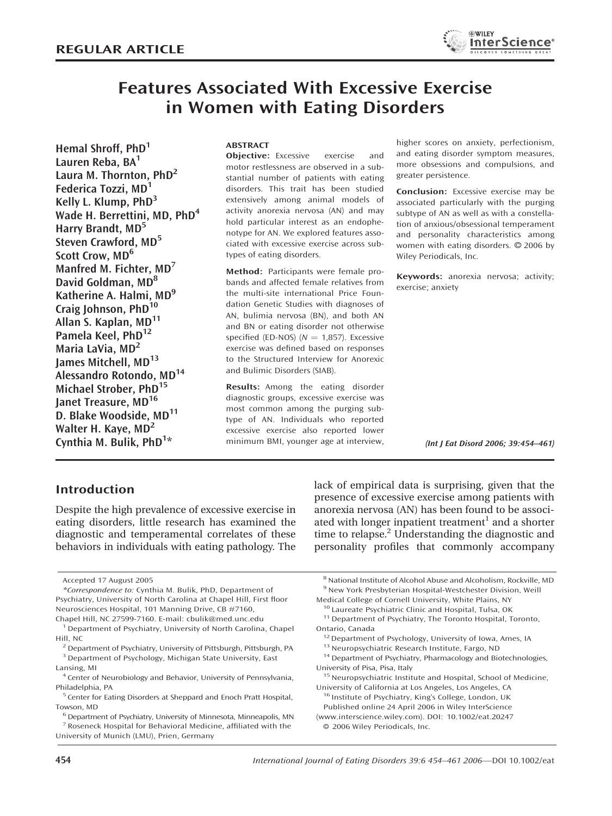# Features Associated With Excessive Exercise in Women with Eating Disorders

Hemal Shroff, PhD<sup>1</sup> Lauren Reba, BA<sup>1</sup> Laura M. Thornton, PhD<sup>2</sup> Federica Tozzi, MD<sup>1</sup> Kelly L. Klump, PhD<sup>3</sup> Wade H. Berrettini, MD, PhD<sup>4</sup> Harry Brandt, MD<sup>5</sup> Steven Crawford, MD<sup>5</sup> Scott Crow, MD<sup>6</sup> Manfred M. Fichter,  $MD<sup>7</sup>$ David Goldman, MD<sup>8</sup> Katherine A. Halmi, MD9 Craig Johnson, PhD<sup>10</sup> Allan S. Kaplan,  $MD^{11}$ Pamela Keel, PhD<sup>12</sup> Maria LaVia,  $MD<sup>2</sup>$ James Mitchell, MD<sup>13</sup> Alessandro Rotondo, MD14 Michael Strober, PhD<sup>15</sup> Janet Treasure, MD<sup>16</sup> D. Blake Woodside, MD<sup>11</sup> Walter H. Kaye, MD<sup>2</sup> Cynthia M. Bulik, PhD<sup>1\*</sup>

#### ABSTRACT

**Objective:** Excessive exercise and motor restlessness are observed in a substantial number of patients with eating disorders. This trait has been studied extensively among animal models of activity anorexia nervosa (AN) and may hold particular interest as an endophenotype for AN. We explored features associated with excessive exercise across subtypes of eating disorders.

Method: Participants were female probands and affected female relatives from the multi-site international Price Foundation Genetic Studies with diagnoses of AN, bulimia nervosa (BN), and both AN and BN or eating disorder not otherwise specified (ED-NOS) ( $N = 1,857$ ). Excessive exercise was defined based on responses to the Structured Interview for Anorexic and Bulimic Disorders (SIAB).

Results: Among the eating disorder diagnostic groups, excessive exercise was most common among the purging subtype of AN. Individuals who reported excessive exercise also reported lower minimum BMI, younger age at interview, higher scores on anxiety, perfectionism, and eating disorder symptom measures, more obsessions and compulsions, and greater persistence.

Conclusion: Excessive exercise may be associated particularly with the purging subtype of AN as well as with a constellation of anxious/obsessional temperament and personality characteristics among women with eating disorders.  $\odot$  2006 by Wiley Periodicals, Inc.

Keywords: anorexia nervosa; activity; exercise; anxiety

(Int J Eat Disord 2006; 39:454–461)

## Introduction

Despite the high prevalence of excessive exercise in eating disorders, little research has examined the diagnostic and temperamental correlates of these behaviors in individuals with eating pathology. The lack of empirical data is surprising, given that the presence of excessive exercise among patients with anorexia nervosa (AN) has been found to be associated with longer inpatient treatment<sup>1</sup> and a shorter time to relapse.<sup>2</sup> Understanding the diagnostic and personality profiles that commonly accompany

Accepted 17 August 2005

- \*Correspondence to: Cynthia M. Bulik, PhD, Department of Psychiatry, University of North Carolina at Chapel Hill, First floor Neurosciences Hospital, 101 Manning Drive, CB #7160, Chapel Hill, NC 27599-7160. E-mail: cbulik@med.unc.edu
- <sup>1</sup> Department of Psychiatry, University of North Carolina, Chapel Hill, NC
- <sup>2</sup> Department of Psychiatry, University of Pittsburgh, Pittsburgh, PA
- <sup>3</sup> Department of Psychology, Michigan State University, East Lansing, MI
- $4$  Center of Neurobiology and Behavior, University of Pennsylvania, Philadelphia, PA
- <sup>5</sup> Center for Eating Disorders at Sheppard and Enoch Pratt Hospital, Towson, MD
- $^6$  Department of Psychiatry, University of Minnesota, Minneapolis, MN  $7$  Roseneck Hospital for Behavioral Medicine, affiliated with the University of Munich (LMU), Prien, Germany

<sup>8</sup> National Institute of Alcohol Abuse and Alcoholism, Rockville, MD

- <sup>9</sup> New York Presbyterian Hospital-Westchester Division, Weill Medical College of Cornell University, White Plains, NY
	- <sup>10</sup> Laureate Psychiatric Clinic and Hospital, Tulsa, OK

<sup>11</sup> Department of Psychiatry, The Toronto Hospital, Toronto, Ontario, Canada

<sup>14</sup> Department of Psychiatry, Pharmacology and Biotechnologies, University of Pisa, Pisa, Italy

<sup>16</sup> Institute of Psychiatry, King's College, London, UK

Published online 24 April 2006 in Wiley InterScience (www.interscience.wiley.com). DOI: 10.1002/eat.20247

 $\odot$  2006 Wiley Periodicals, Inc.

<sup>&</sup>lt;sup>12</sup> Department of Psychology, University of Iowa, Ames, IA

<sup>&</sup>lt;sup>13</sup> Neuropsychiatric Research Institute, Fargo, ND

<sup>&</sup>lt;sup>15</sup> Neuropsychiatric Institute and Hospital, School of Medicine, University of California at Los Angeles, Los Angeles, CA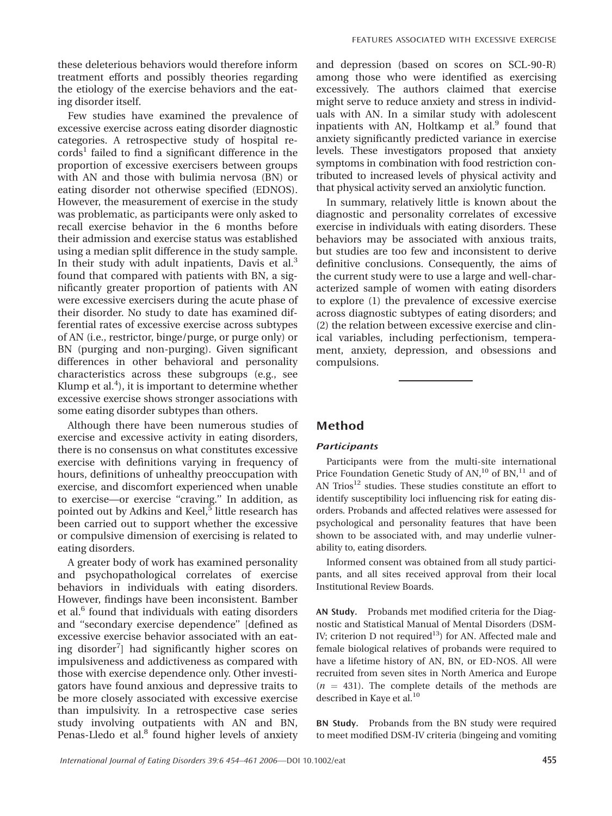these deleterious behaviors would therefore inform treatment efforts and possibly theories regarding the etiology of the exercise behaviors and the eating disorder itself.

Few studies have examined the prevalence of excessive exercise across eating disorder diagnostic categories. A retrospective study of hospital re- $\text{cords}^1$  failed to find a significant difference in the proportion of excessive exercisers between groups with AN and those with bulimia nervosa (BN) or eating disorder not otherwise specified (EDNOS). However, the measurement of exercise in the study was problematic, as participants were only asked to recall exercise behavior in the 6 months before their admission and exercise status was established using a median split difference in the study sample. In their study with adult inpatients, Davis et al.<sup>3</sup> found that compared with patients with BN, a significantly greater proportion of patients with AN were excessive exercisers during the acute phase of their disorder. No study to date has examined differential rates of excessive exercise across subtypes of AN (i.e., restrictor, binge/purge, or purge only) or BN (purging and non-purging). Given significant differences in other behavioral and personality characteristics across these subgroups (e.g., see Klump et al.<sup>4</sup>), it is important to determine whether excessive exercise shows stronger associations with some eating disorder subtypes than others.

Although there have been numerous studies of exercise and excessive activity in eating disorders, there is no consensus on what constitutes excessive exercise with definitions varying in frequency of hours, definitions of unhealthy preoccupation with exercise, and discomfort experienced when unable to exercise—or exercise "craving." In addition, as pointed out by Adkins and Keel, $\frac{5}{7}$  little research has been carried out to support whether the excessive or compulsive dimension of exercising is related to eating disorders.

A greater body of work has examined personality and psychopathological correlates of exercise behaviors in individuals with eating disorders. However, findings have been inconsistent. Bamber et al.<sup>6</sup> found that individuals with eating disorders and ''secondary exercise dependence'' [defined as excessive exercise behavior associated with an eating disorder<sup>7</sup>] had significantly higher scores on impulsiveness and addictiveness as compared with those with exercise dependence only. Other investigators have found anxious and depressive traits to be more closely associated with excessive exercise than impulsivity. In a retrospective case series study involving outpatients with AN and BN, Penas-Lledo et al. $8$  found higher levels of anxiety

and depression (based on scores on SCL-90-R) among those who were identified as exercising excessively. The authors claimed that exercise might serve to reduce anxiety and stress in individuals with AN. In a similar study with adolescent inpatients with AN, Holtkamp et  $al<sup>9</sup>$  found that anxiety significantly predicted variance in exercise levels. These investigators proposed that anxiety symptoms in combination with food restriction contributed to increased levels of physical activity and that physical activity served an anxiolytic function.

In summary, relatively little is known about the diagnostic and personality correlates of excessive exercise in individuals with eating disorders. These behaviors may be associated with anxious traits, but studies are too few and inconsistent to derive definitive conclusions. Consequently, the aims of the current study were to use a large and well-characterized sample of women with eating disorders to explore (1) the prevalence of excessive exercise across diagnostic subtypes of eating disorders; and (2) the relation between excessive exercise and clinical variables, including perfectionism, temperament, anxiety, depression, and obsessions and compulsions.

## Method

#### **Participants**

Participants were from the multi-site international Price Foundation Genetic Study of  $AN<sub>10</sub><sup>10</sup>$  of BN,<sup>11</sup> and of AN Trios<sup>12</sup> studies. These studies constitute an effort to identify susceptibility loci influencing risk for eating disorders. Probands and affected relatives were assessed for psychological and personality features that have been shown to be associated with, and may underlie vulnerability to, eating disorders.

Informed consent was obtained from all study participants, and all sites received approval from their local Institutional Review Boards.

AN Study. Probands met modified criteria for the Diagnostic and Statistical Manual of Mental Disorders (DSM-IV; criterion D not required<sup>13</sup>) for AN. Affected male and female biological relatives of probands were required to have a lifetime history of AN, BN, or ED-NOS. All were recruited from seven sites in North America and Europe  $(n = 431)$ . The complete details of the methods are described in Kaye et al.<sup>10</sup>

BN Study. Probands from the BN study were required to meet modified DSM-IV criteria (bingeing and vomiting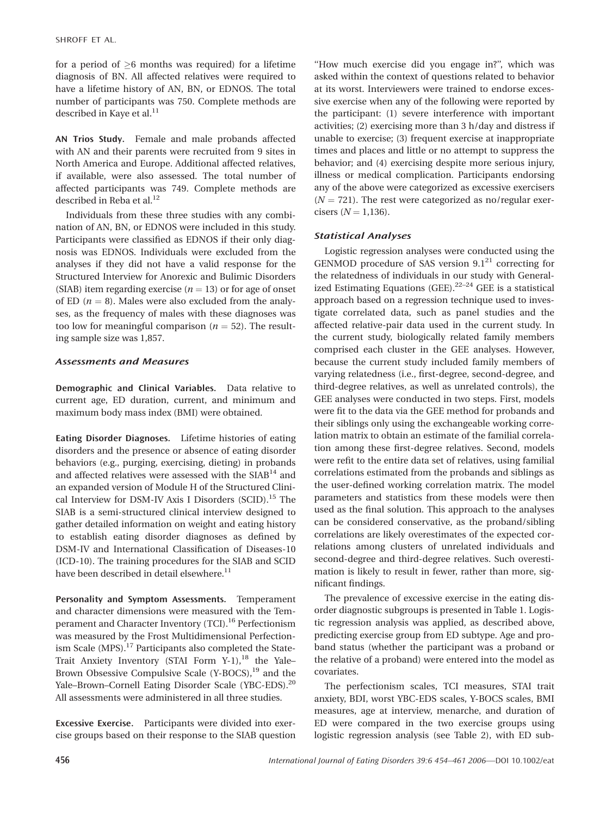for a period of  $>6$  months was required) for a lifetime diagnosis of BN. All affected relatives were required to have a lifetime history of AN, BN, or EDNOS. The total number of participants was 750. Complete methods are described in Kaye et al.<sup>11</sup>

AN Trios Study. Female and male probands affected with AN and their parents were recruited from 9 sites in North America and Europe. Additional affected relatives, if available, were also assessed. The total number of affected participants was 749. Complete methods are described in Reba et al. $^{12}$ 

Individuals from these three studies with any combination of AN, BN, or EDNOS were included in this study. Participants were classified as EDNOS if their only diagnosis was EDNOS. Individuals were excluded from the analyses if they did not have a valid response for the Structured Interview for Anorexic and Bulimic Disorders (SIAB) item regarding exercise ( $n = 13$ ) or for age of onset of ED ( $n = 8$ ). Males were also excluded from the analyses, as the frequency of males with these diagnoses was too low for meaningful comparison ( $n = 52$ ). The resulting sample size was 1,857.

#### Assessments and Measures

Demographic and Clinical Variables. Data relative to current age, ED duration, current, and minimum and maximum body mass index (BMI) were obtained.

Eating Disorder Diagnoses. Lifetime histories of eating disorders and the presence or absence of eating disorder behaviors (e.g., purging, exercising, dieting) in probands and affected relatives were assessed with the SIAB<sup>14</sup> and an expanded version of Module H of the Structured Clinical Interview for DSM-IV Axis I Disorders (SCID).<sup>15</sup> The SIAB is a semi-structured clinical interview designed to gather detailed information on weight and eating history to establish eating disorder diagnoses as defined by DSM-IV and International Classification of Diseases-10 (ICD-10). The training procedures for the SIAB and SCID have been described in detail elsewhere.<sup>11</sup>

Personality and Symptom Assessments. Temperament and character dimensions were measured with the Temperament and Character Inventory (TCI).<sup>16</sup> Perfectionism was measured by the Frost Multidimensional Perfectionism Scale (MPS).<sup>17</sup> Participants also completed the State-Trait Anxiety Inventory (STAI Form Y-1), $^{18}$  the Yale-Brown Obsessive Compulsive Scale (Y-BOCS),<sup>19</sup> and the Yale–Brown–Cornell Eating Disorder Scale (YBC-EDS).<sup>20</sup> All assessments were administered in all three studies.

Excessive Exercise. Participants were divided into exercise groups based on their response to the SIAB question ''How much exercise did you engage in?'', which was asked within the context of questions related to behavior at its worst. Interviewers were trained to endorse excessive exercise when any of the following were reported by the participant: (1) severe interference with important activities; (2) exercising more than 3 h/day and distress if unable to exercise; (3) frequent exercise at inappropriate times and places and little or no attempt to suppress the behavior; and (4) exercising despite more serious injury, illness or medical complication. Participants endorsing any of the above were categorized as excessive exercisers  $(N = 721)$ . The rest were categorized as no/regular exercisers  $(N = 1,136)$ .

#### Statistical Analyses

Logistic regression analyses were conducted using the GENMOD procedure of SAS version  $9.1<sup>21</sup>$  correcting for the relatedness of individuals in our study with Generalized Estimating Equations (GEE).<sup>22-24</sup> GEE is a statistical approach based on a regression technique used to investigate correlated data, such as panel studies and the affected relative-pair data used in the current study. In the current study, biologically related family members comprised each cluster in the GEE analyses. However, because the current study included family members of varying relatedness (i.e., first-degree, second-degree, and third-degree relatives, as well as unrelated controls), the GEE analyses were conducted in two steps. First, models were fit to the data via the GEE method for probands and their siblings only using the exchangeable working correlation matrix to obtain an estimate of the familial correlation among these first-degree relatives. Second, models were refit to the entire data set of relatives, using familial correlations estimated from the probands and siblings as the user-defined working correlation matrix. The model parameters and statistics from these models were then used as the final solution. This approach to the analyses can be considered conservative, as the proband/sibling correlations are likely overestimates of the expected correlations among clusters of unrelated individuals and second-degree and third-degree relatives. Such overestimation is likely to result in fewer, rather than more, significant findings.

The prevalence of excessive exercise in the eating disorder diagnostic subgroups is presented in Table 1. Logistic regression analysis was applied, as described above, predicting exercise group from ED subtype. Age and proband status (whether the participant was a proband or the relative of a proband) were entered into the model as covariates.

The perfectionism scales, TCI measures, STAI trait anxiety, BDI, worst YBC-EDS scales, Y-BOCS scales, BMI measures, age at interview, menarche, and duration of ED were compared in the two exercise groups using logistic regression analysis (see Table 2), with ED sub-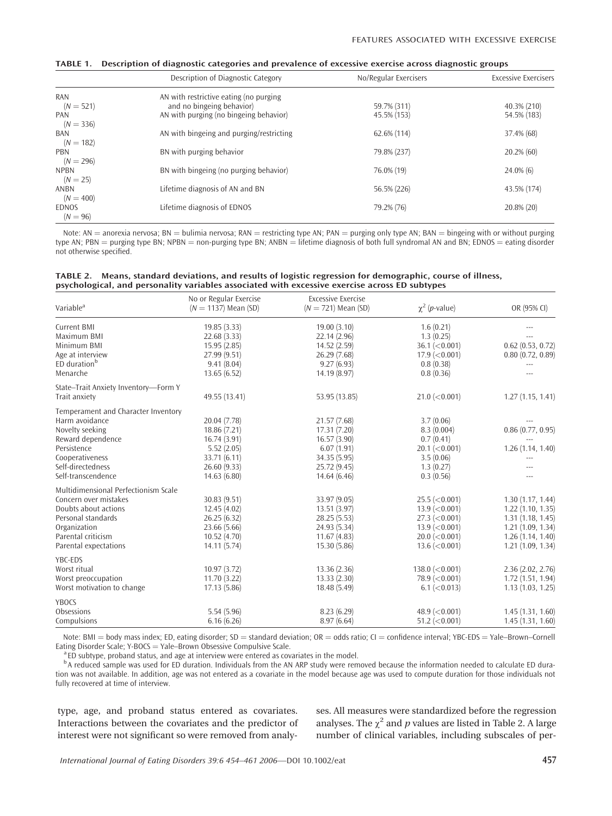|                            | Description of Diagnostic Category       | No/Regular Exercisers | <b>Excessive Exercisers</b> |
|----------------------------|------------------------------------------|-----------------------|-----------------------------|
| RAN                        | AN with restrictive eating (no purging   |                       |                             |
| $(N = 521)$                | and no bingeing behavior)                | 59.7% (311)           | 40.3% (210)                 |
| PAN<br>$(N = 336)$         | AN with purging (no bingeing behavior)   | 45.5% (153)           | 54.5% (183)                 |
| <b>BAN</b><br>$(N = 182)$  | AN with bingeing and purging/restricting | 62.6% (114)           | 37.4% (68)                  |
| <b>PBN</b><br>$(N = 296)$  | BN with purging behavior                 | 79.8% (237)           | $20.2\%$ (60)               |
| <b>NPBN</b><br>$(N = 25)$  | BN with bingeing (no purging behavior)   | 76.0% (19)            | $24.0\%$ (6)                |
| ANBN<br>$(N = 400)$        | Lifetime diagnosis of AN and BN          | 56.5% (226)           | 43.5% (174)                 |
| <b>EDNOS</b><br>$(N = 96)$ | Lifetime diagnosis of EDNOS              | 79.2% (76)            | 20.8% (20)                  |

|  | TABLE 1. Description of diagnostic categories and prevalence of excessive exercise across diagnostic groups |  |  |  |  |
|--|-------------------------------------------------------------------------------------------------------------|--|--|--|--|
|--|-------------------------------------------------------------------------------------------------------------|--|--|--|--|

Note: AN = anorexia nervosa; BN = bulimia nervosa; RAN = restricting type AN; PAN = purging only type AN; BAN = bingeing with or without purging type AN; PBN = purging type BN; NPBN = non-purging type BN; ANBN = lifetime diagnosis of both full syndromal AN and BN; EDNOS = eating disorder not otherwise specified.

| TABLE 2. Means, standard deviations, and results of logistic regression for demographic, course of illness, |
|-------------------------------------------------------------------------------------------------------------|
| psychological, and personality variables associated with excessive exercise across ED subtypes              |

| Variable <sup>a</sup>                | No or Regular Exercise<br>$(N = 1137)$ Mean (SD) | <b>Excessive Exercise</b><br>$(N = 721)$ Mean (SD) | $\chi^2$ ( <i>p</i> -value)    | OR (95% CI)         |
|--------------------------------------|--------------------------------------------------|----------------------------------------------------|--------------------------------|---------------------|
| <b>Current BMI</b>                   | 19.85(3.33)                                      | 19.00(3.10)                                        | 1.6(0.21)                      |                     |
| Maximum BMI                          | 22.68 (3.33)                                     | 22.14 (2.96)                                       | 1.3(0.25)                      | $---$               |
| Minimum BMI                          | 15.95(2.85)                                      | 14.52 (2.59)                                       | 36.1 $(< 0.001)$               | $0.62$ (0.53, 0.72) |
| Age at interview                     | 27.99 (9.51)                                     | 26.29 (7.68)                                       | $17.9$ (<0.001)                | 0.80(0.72, 0.89)    |
| ED duration <sup>b</sup>             | 9.41(8.04)                                       | 9.27(6.93)                                         | 0.8(0.38)                      | $---$               |
| Menarche                             | 13.65(6.52)                                      | 14.19 (8.97)                                       | 0.8(0.36)                      |                     |
| State-Trait Anxiety Inventory-Form Y |                                                  |                                                    |                                |                     |
| Trait anxiety                        | 49.55 (13.41)                                    | 53.95 (13.85)                                      | $21.0 \; (< 0.001)$            | 1.27(1.15, 1.41)    |
| Temperament and Character Inventory  |                                                  |                                                    |                                |                     |
| Harm avoidance                       | 20.04 (7.78)                                     | 21.57 (7.68)                                       | 3.7(0.06)                      |                     |
| Novelty seeking                      | 18.86 (7.21)                                     | 17.31(7.20)                                        | 8.3(0.004)                     | 0.86(0.77, 0.95)    |
| Reward dependence                    | 16.74(3.91)                                      | 16.57(3.90)                                        | 0.7(0.41)                      |                     |
| Persistence                          | 5.52(2.05)                                       | 6.07(1.91)                                         | $20.1$ (<0.001)                | 1.26(1.14, 1.40)    |
| Cooperativeness                      | 33.71 (6.11)                                     | 34.35 (5.95)                                       | 3.5(0.06)                      |                     |
| Self-directedness                    | 26.60 (9.33)                                     | 25.72 (9.45)                                       | 1.3(0.27)                      |                     |
| Self-transcendence                   | 14.63(6.80)                                      | 14.64(6.46)                                        | 0.3(0.56)                      |                     |
| Multidimensional Perfectionism Scale |                                                  |                                                    |                                |                     |
| Concern over mistakes                | 30.83 (9.51)                                     | 33.97 (9.05)                                       | $25.5 \approx (0.001)$         | 1.30(1.17, 1.44)    |
| Doubts about actions                 | 12.45(4.02)                                      | 13.51(3.97)                                        | $13.9 \left( < 0.001 \right)$  | 1.22(1.10, 1.35)    |
| Personal standards                   | 26.25(6.32)                                      | 28.25(5.53)                                        | $27.3 \approx 0.001$           | 1.31(1.18, 1.45)    |
| Organization                         | 23.66 (5.66)                                     | 24.93 (5.34)                                       | $13.9 \approx 0.001$           | 1.21(1.09, 1.34)    |
| Parental criticism                   | 10.52(4.70)                                      | 11.67(4.83)                                        | $20.0$ ( $<$ 0.001)            | 1.26(1.14, 1.40)    |
| Parental expectations                | 14.11(5.74)                                      | 15.30(5.86)                                        | $13.6 \approx 0.001$           | 1.21(1.09, 1.34)    |
| YBC-EDS                              |                                                  |                                                    |                                |                     |
| Worst ritual                         | 10.97(3.72)                                      | 13.36(2.36)                                        | 138.0 $\left( < 0.001 \right)$ | 2.36(2.02, 2.76)    |
| Worst preoccupation                  | 11.70(3.22)                                      | 13.33(2.30)                                        | $78.9$ (<0.001)                | 1.72(1.51, 1.94)    |
| Worst motivation to change           | 17.13 (5.86)                                     | 18.48 (5.49)                                       | $6.1$ ( $<$ 0.013)             | 1.13(1.03, 1.25)    |
| <b>YBOCS</b>                         |                                                  |                                                    |                                |                     |
| Obsessions                           | 5.54(5.96)                                       | 8.23(6.29)                                         | 48.9 $(< 0.001)$               | 1.45(1.31, 1.60)    |
| Compulsions                          | 6.16(6.26)                                       | 8.97(6.64)                                         | $51.2$ (<0.001)                | 1.45(1.31, 1.60)    |

Note: BMI = body mass index; ED, eating disorder; SD = standard deviation; OR = odds ratio; CI = confidence interval; YBC-EDS = Yale–Brown–Cornell Eating Disorder Scale; Y-BOCS = Yale-Brown Obsessive Compulsive Scale.

<sup>a</sup> ED subtype, proband status, and age at interview were entered as covariates in the model.

b B state per presence sample was used for ED duration. Individuals from the AN ARP study were removed because the information needed to calculate ED duration was not available. In addition, age was not entered as a covariate in the model because age was used to compute duration for those individuals not fully recovered at time of interview.

type, age, and proband status entered as covariates. Interactions between the covariates and the predictor of interest were not significant so were removed from analyses. All measures were standardized before the regression analyses. The  $\chi^2$  and p values are listed in Table 2. A large number of clinical variables, including subscales of per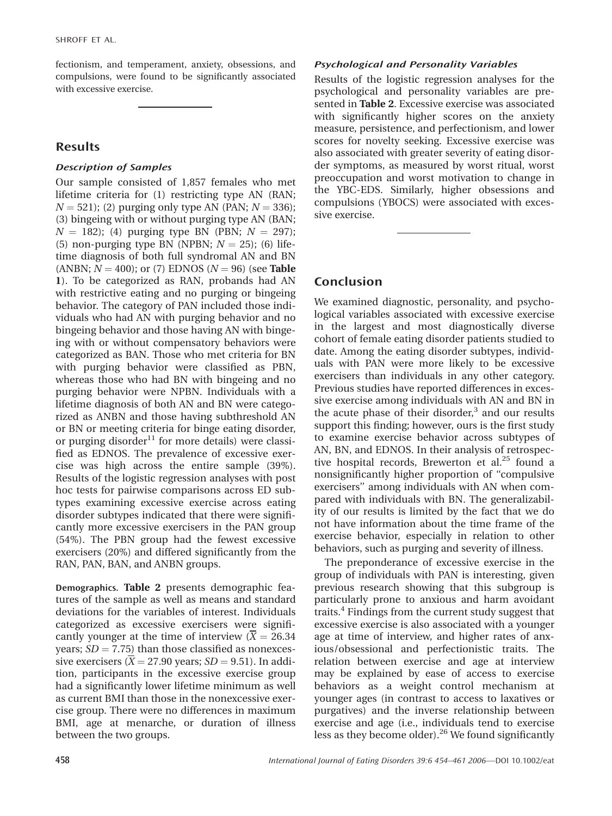fectionism, and temperament, anxiety, obsessions, and compulsions, were found to be significantly associated with excessive exercise.

## Results

### Description of Samples

Our sample consisted of 1,857 females who met lifetime criteria for (1) restricting type AN (RAN;  $N = 521$ ); (2) purging only type AN (PAN;  $N = 336$ ); (3) bingeing with or without purging type AN (BAN;  $N = 182$ ); (4) purging type BN (PBN;  $N = 297$ ); (5) non-purging type BN (NPBN;  $N = 25$ ); (6) lifetime diagnosis of both full syndromal AN and BN (ANBN;  $N = 400$ ); or (7) EDNOS ( $N = 96$ ) (see Table 1). To be categorized as RAN, probands had AN with restrictive eating and no purging or bingeing behavior. The category of PAN included those individuals who had AN with purging behavior and no bingeing behavior and those having AN with bingeing with or without compensatory behaviors were categorized as BAN. Those who met criteria for BN with purging behavior were classified as PBN, whereas those who had BN with bingeing and no purging behavior were NPBN. Individuals with a lifetime diagnosis of both AN and BN were categorized as ANBN and those having subthreshold AN or BN or meeting criteria for binge eating disorder, or purging disorder<sup>11</sup> for more details) were classified as EDNOS. The prevalence of excessive exercise was high across the entire sample (39%). Results of the logistic regression analyses with post hoc tests for pairwise comparisons across ED subtypes examining excessive exercise across eating disorder subtypes indicated that there were significantly more excessive exercisers in the PAN group (54%). The PBN group had the fewest excessive exercisers (20%) and differed significantly from the RAN, PAN, BAN, and ANBN groups.

Demographics. Table 2 presents demographic features of the sample as well as means and standard deviations for the variables of interest. Individuals categorized as excessive exercisers were significantly younger at the time of interview  $(X = 26.34)$ years;  $SD = 7.75$ ) than those classified as nonexcessive exercisers ( $\overline{X}$  = 27.90 years; SD = 9.51). In addition, participants in the excessive exercise group had a significantly lower lifetime minimum as well as current BMI than those in the nonexcessive exercise group. There were no differences in maximum BMI, age at menarche, or duration of illness between the two groups.

#### Psychological and Personality Variables

Results of the logistic regression analyses for the psychological and personality variables are presented in Table 2. Excessive exercise was associated with significantly higher scores on the anxiety measure, persistence, and perfectionism, and lower scores for novelty seeking. Excessive exercise was also associated with greater severity of eating disorder symptoms, as measured by worst ritual, worst preoccupation and worst motivation to change in the YBC-EDS. Similarly, higher obsessions and compulsions (YBOCS) were associated with excessive exercise.

## Conclusion

We examined diagnostic, personality, and psychological variables associated with excessive exercise in the largest and most diagnostically diverse cohort of female eating disorder patients studied to date. Among the eating disorder subtypes, individuals with PAN were more likely to be excessive exercisers than individuals in any other category. Previous studies have reported differences in excessive exercise among individuals with AN and BN in the acute phase of their disorder, $3$  and our results support this finding; however, ours is the first study to examine exercise behavior across subtypes of AN, BN, and EDNOS. In their analysis of retrospective hospital records, Brewerton et al.<sup>25</sup> found a nonsignificantly higher proportion of ''compulsive exercisers'' among individuals with AN when compared with individuals with BN. The generalizability of our results is limited by the fact that we do not have information about the time frame of the exercise behavior, especially in relation to other behaviors, such as purging and severity of illness.

The preponderance of excessive exercise in the group of individuals with PAN is interesting, given previous research showing that this subgroup is particularly prone to anxious and harm avoidant traits.4 Findings from the current study suggest that excessive exercise is also associated with a younger age at time of interview, and higher rates of anxious/obsessional and perfectionistic traits. The relation between exercise and age at interview may be explained by ease of access to exercise behaviors as a weight control mechanism at younger ages (in contrast to access to laxatives or purgatives) and the inverse relationship between exercise and age (i.e., individuals tend to exercise less as they become older). $^{26}$  We found significantly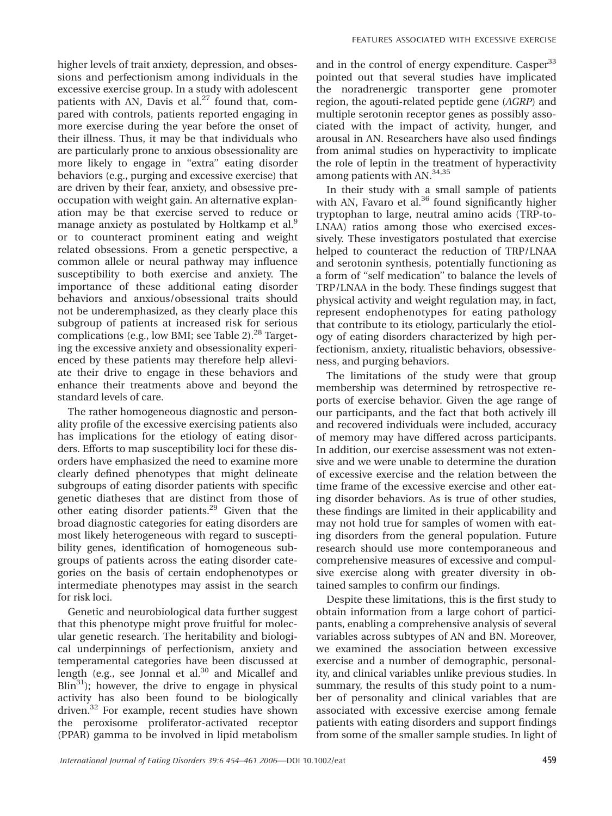higher levels of trait anxiety, depression, and obsessions and perfectionism among individuals in the excessive exercise group. In a study with adolescent patients with AN, Davis et al. $27$  found that, compared with controls, patients reported engaging in more exercise during the year before the onset of their illness. Thus, it may be that individuals who are particularly prone to anxious obsessionality are more likely to engage in ''extra'' eating disorder behaviors (e.g., purging and excessive exercise) that are driven by their fear, anxiety, and obsessive preoccupation with weight gain. An alternative explanation may be that exercise served to reduce or manage anxiety as postulated by Holtkamp et al.<sup>9</sup> or to counteract prominent eating and weight related obsessions. From a genetic perspective, a common allele or neural pathway may influence susceptibility to both exercise and anxiety. The importance of these additional eating disorder behaviors and anxious/obsessional traits should not be underemphasized, as they clearly place this subgroup of patients at increased risk for serious complications (e.g., low BMI; see Table  $2^2$ ).<sup>28</sup> Targeting the excessive anxiety and obsessionality experienced by these patients may therefore help alleviate their drive to engage in these behaviors and enhance their treatments above and beyond the standard levels of care.

The rather homogeneous diagnostic and personality profile of the excessive exercising patients also has implications for the etiology of eating disorders. Efforts to map susceptibility loci for these disorders have emphasized the need to examine more clearly defined phenotypes that might delineate subgroups of eating disorder patients with specific genetic diatheses that are distinct from those of other eating disorder patients.29 Given that the broad diagnostic categories for eating disorders are most likely heterogeneous with regard to susceptibility genes, identification of homogeneous subgroups of patients across the eating disorder categories on the basis of certain endophenotypes or intermediate phenotypes may assist in the search for risk loci.

Genetic and neurobiological data further suggest that this phenotype might prove fruitful for molecular genetic research. The heritability and biological underpinnings of perfectionism, anxiety and temperamental categories have been discussed at length (e.g., see Jonnal et al.<sup>30</sup> and Micallef and  $Blin<sup>31</sup>$ ; however, the drive to engage in physical activity has also been found to be biologically driven.<sup>32</sup> For example, recent studies have shown the peroxisome proliferator-activated receptor (PPAR) gamma to be involved in lipid metabolism

and in the control of energy expenditure. Casper<sup>33</sup> pointed out that several studies have implicated the noradrenergic transporter gene promoter region, the agouti-related peptide gene (AGRP) and multiple serotonin receptor genes as possibly associated with the impact of activity, hunger, and arousal in AN. Researchers have also used findings from animal studies on hyperactivity to implicate the role of leptin in the treatment of hyperactivity among patients with  $AN.^{34,35}$ 

In their study with a small sample of patients with AN, Favaro et al.<sup>36</sup> found significantly higher tryptophan to large, neutral amino acids (TRP-to-LNAA) ratios among those who exercised excessively. These investigators postulated that exercise helped to counteract the reduction of TRP/LNAA and serotonin synthesis, potentially functioning as a form of ''self medication'' to balance the levels of TRP/LNAA in the body. These findings suggest that physical activity and weight regulation may, in fact, represent endophenotypes for eating pathology that contribute to its etiology, particularly the etiology of eating disorders characterized by high perfectionism, anxiety, ritualistic behaviors, obsessiveness, and purging behaviors.

The limitations of the study were that group membership was determined by retrospective reports of exercise behavior. Given the age range of our participants, and the fact that both actively ill and recovered individuals were included, accuracy of memory may have differed across participants. In addition, our exercise assessment was not extensive and we were unable to determine the duration of excessive exercise and the relation between the time frame of the excessive exercise and other eating disorder behaviors. As is true of other studies, these findings are limited in their applicability and may not hold true for samples of women with eating disorders from the general population. Future research should use more contemporaneous and comprehensive measures of excessive and compulsive exercise along with greater diversity in obtained samples to confirm our findings.

Despite these limitations, this is the first study to obtain information from a large cohort of participants, enabling a comprehensive analysis of several variables across subtypes of AN and BN. Moreover, we examined the association between excessive exercise and a number of demographic, personality, and clinical variables unlike previous studies. In summary, the results of this study point to a number of personality and clinical variables that are associated with excessive exercise among female patients with eating disorders and support findings from some of the smaller sample studies. In light of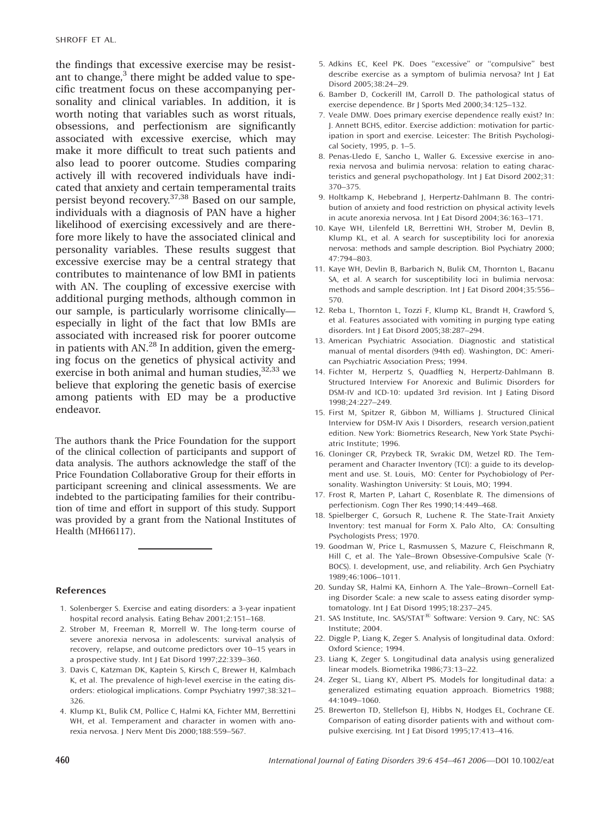the findings that excessive exercise may be resistant to change, $3$  there might be added value to specific treatment focus on these accompanying personality and clinical variables. In addition, it is worth noting that variables such as worst rituals, obsessions, and perfectionism are significantly associated with excessive exercise, which may make it more difficult to treat such patients and also lead to poorer outcome. Studies comparing actively ill with recovered individuals have indicated that anxiety and certain temperamental traits persist beyond recovery.37,38 Based on our sample, individuals with a diagnosis of PAN have a higher likelihood of exercising excessively and are therefore more likely to have the associated clinical and personality variables. These results suggest that excessive exercise may be a central strategy that contributes to maintenance of low BMI in patients with AN. The coupling of excessive exercise with additional purging methods, although common in our sample, is particularly worrisome clinically especially in light of the fact that low BMIs are associated with increased risk for poorer outcome in patients with AN.<sup>28</sup> In addition, given the emerging focus on the genetics of physical activity and exercise in both animal and human studies,  $32,33$  we believe that exploring the genetic basis of exercise among patients with ED may be a productive endeavor.

The authors thank the Price Foundation for the support of the clinical collection of participants and support of data analysis. The authors acknowledge the staff of the Price Foundation Collaborative Group for their efforts in participant screening and clinical assessments. We are indebted to the participating families for their contribution of time and effort in support of this study. Support was provided by a grant from the National Institutes of Health (MH66117).

#### References

- 1. Solenberger S. Exercise and eating disorders: a 3-year inpatient hospital record analysis. Eating Behav 2001;2:151–168.
- 2. Strober M, Freeman R, Morrell W. The long-term course of severe anorexia nervosa in adolescents: survival analysis of recovery, relapse, and outcome predictors over 10–15 years in a prospective study. Int J Eat Disord 1997;22:339–360.
- 3. Davis C, Katzman DK, Kaptein S, Kirsch C, Brewer H, Kalmbach K, et al. The prevalence of high-level exercise in the eating disorders: etiological implications. Compr Psychiatry 1997;38:321– 326.
- 4. Klump KL, Bulik CM, Pollice C, Halmi KA, Fichter MM, Berrettini WH, et al. Temperament and character in women with anorexia nervosa. J Nerv Ment Dis 2000;188:559–567.
- 5. Adkins EC, Keel PK. Does ''excessive'' or ''compulsive'' best describe exercise as a symptom of bulimia nervosa? Int J Eat Disord 2005;38:24–29.
- 6. Bamber D, Cockerill IM, Carroll D. The pathological status of exercise dependence. Br J Sports Med 2000;34:125–132.
- 7. Veale DMW. Does primary exercise dependence really exist? In: J. Annett BCHS, editor. Exercise addiction: motivation for participation in sport and exercise. Leicester: The British Psychological Society, 1995, p. 1–5.
- 8. Penas-Lledo E, Sancho L, Waller G. Excessive exercise in anorexia nervosa and bulimia nervosa: relation to eating characteristics and general psychopathology. Int J Eat Disord 2002;31: 370–375.
- 9. Holtkamp K, Hebebrand J, Herpertz-Dahlmann B. The contribution of anxiety and food restriction on physical activity levels in acute anorexia nervosa. Int J Eat Disord 2004;36:163–171.
- 10. Kaye WH, Lilenfeld LR, Berrettini WH, Strober M, Devlin B, Klump KL, et al. A search for susceptibility loci for anorexia nervosa: methods and sample description. Biol Psychiatry 2000; 47:794–803.
- 11. Kaye WH, Devlin B, Barbarich N, Bulik CM, Thornton L, Bacanu SA, et al. A search for susceptibility loci in bulimia nervosa: methods and sample description. Int J Eat Disord 2004;35:556– 570.
- 12. Reba L, Thornton L, Tozzi F, Klump KL, Brandt H, Crawford S, et al. Features associated with vomiting in purging type eating disorders. Int J Eat Disord 2005;38:287–294.
- 13. American Psychiatric Association. Diagnostic and statistical manual of mental disorders (94th ed). Washington, DC: American Psychiatric Association Press; 1994.
- 14. Fichter M, Herpertz S, Quadflieg N, Herpertz-Dahlmann B. Structured Interview For Anorexic and Bulimic Disorders for DSM-IV and ICD-10: updated 3rd revision. Int J Eating Disord 1998;24:227–249.
- 15. First M, Spitzer R, Gibbon M, Williams J. Structured Clinical Interview for DSM-IV Axis I Disorders, research version,patient edition. New York: Biometrics Research, New York State Psychiatric Institute; 1996.
- 16. Cloninger CR, Przybeck TR, Svrakic DM, Wetzel RD. The Temperament and Character Inventory (TCI): a guide to its development and use. St. Louis, MO: Center for Psychobiology of Personality. Washington University: St Louis, MO; 1994.
- 17. Frost R, Marten P, Lahart C, Rosenblate R. The dimensions of perfectionism. Cogn Ther Res 1990;14:449–468.
- 18. Spielberger C, Gorsuch R, Luchene R. The State-Trait Anxiety Inventory: test manual for Form X. Palo Alto, CA: Consulting Psychologists Press; 1970.
- 19. Goodman W, Price L, Rasmussen S, Mazure C, Fleischmann R, Hill C, et al. The Yale–Brown Obsessive-Compulsive Scale (Y-BOCS). I. development, use, and reliability. Arch Gen Psychiatry 1989;46:1006–1011.
- 20. Sunday SR, Halmi KA, Einhorn A. The Yale–Brown–Cornell Eating Disorder Scale: a new scale to assess eating disorder symptomatology. Int J Eat Disord 1995;18:237–245.
- 21. SAS Institute, Inc. SAS/STAT<sup>®</sup> Software: Version 9. Cary, NC: SAS Institute; 2004.
- 22. Diggle P, Liang K, Zeger S. Analysis of longitudinal data. Oxford: Oxford Science; 1994.
- 23. Liang K, Zeger S. Longitudinal data analysis using generalized linear models. Biometrika 1986;73:13–22.
- 24. Zeger SL, Liang KY, Albert PS. Models for longitudinal data: a generalized estimating equation approach. Biometrics 1988; 44:1049–1060.
- 25. Brewerton TD, Stellefson EJ, Hibbs N, Hodges EL, Cochrane CE. Comparison of eating disorder patients with and without compulsive exercising. Int J Eat Disord 1995;17:413–416.